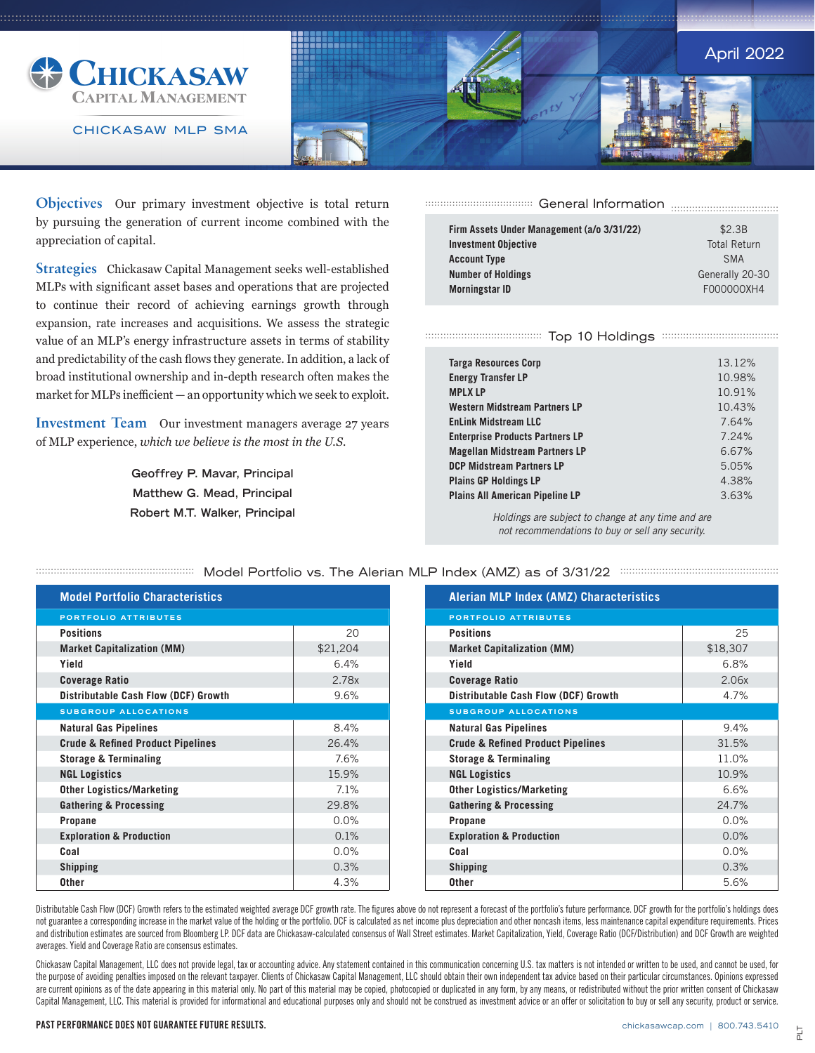

CHICKASAW MLP SMA



**Objectives** Our primary investment objective is total return by pursuing the generation of current income combined with the appreciation of capital.

**Strategies** Chickasaw Capital Management seeks well-established MLPs with significant asset bases and operations that are projected to continue their record of achieving earnings growth through expansion, rate increases and acquisitions. We assess the strategic value of an MLP's energy infrastructure assets in terms of stability and predictability of the cash flows they generate. In addition, a lack of broad institutional ownership and in-depth research often makes the market for MLPs inefficient — an opportunity which we seek to exploit.

**Investment Team** Our investment managers average 27 years of MLP experience, *which we believe is the most in the U.S.*

> **Geoffrey P. Mavar, Principal Matthew G. Mead, Principal Robert M.T. Walker, Principal**

General Information .................................... .................................... .................................... ....................................

| \$2.3B              |
|---------------------|
| <b>Total Return</b> |
| <b>SMA</b>          |
| Generally 20-30     |
| F000000XH4          |
|                     |

## Top 10 Holdings ....................................... ....................................... ....................................... .......................................

| <b>Targa Resources Corp</b>            | 13.12% |
|----------------------------------------|--------|
| <b>Energy Transfer LP</b>              | 10.98% |
| <b>MPLXLP</b>                          | 10.91% |
| <b>Western Midstream Partners LP</b>   | 10.43% |
| <b>EnLink Midstream LLC</b>            | 7.64%  |
| <b>Enterprise Products Partners LP</b> | 7.24%  |
| <b>Magellan Midstream Partners LP</b>  | 6.67%  |
| <b>DCP Midstream Partners LP</b>       | 5.05%  |
| <b>Plains GP Holdings LP</b>           | 4.38%  |
| <b>Plains All American Pipeline LP</b> | 3.63%  |
|                                        |        |

*Holdings are subject to change at any time and are not recommendations to buy or sell any security.*

| <b>Model Portfolio Characteristics</b>       |          |
|----------------------------------------------|----------|
| <b>PORTFOLIO ATTRIBUTES</b>                  |          |
| <b>Positions</b>                             | 20       |
| <b>Market Capitalization (MM)</b>            | \$21,204 |
| Yield                                        | 6.4%     |
| <b>Coverage Ratio</b>                        | 2.78x    |
| <b>Distributable Cash Flow (DCF) Growth</b>  | 9.6%     |
| <b>SUBGROUP ALLOCATIONS</b>                  |          |
| <b>Natural Gas Pipelines</b>                 | 8.4%     |
| <b>Crude &amp; Refined Product Pipelines</b> | 26.4%    |
| <b>Storage &amp; Terminaling</b>             | 7.6%     |
| <b>NGL Logistics</b>                         | 15.9%    |
| <b>Other Logistics/Marketing</b>             | 7.1%     |
| <b>Gathering &amp; Processing</b>            | 29.8%    |
| Propane                                      | $0.0\%$  |
| <b>Exploration &amp; Production</b>          | 0.1%     |
| Coal                                         | 0.0%     |
| <b>Shipping</b>                              | 0.3%     |
| Other                                        | 4.3%     |

## ENDED The Alerian MILP Index (AMZ) as of 3/31/22 Entertation Contract Entertainment and MCP index (AMZ) as of 3/31/22

| <b>Alerian MLP Index (AMZ) Characteristics</b> |          |  |  |  |  |  |  |
|------------------------------------------------|----------|--|--|--|--|--|--|
| <b>PORTFOLIO ATTRIBUTES</b>                    |          |  |  |  |  |  |  |
| <b>Positions</b>                               | 25       |  |  |  |  |  |  |
| <b>Market Capitalization (MM)</b>              | \$18,307 |  |  |  |  |  |  |
| Yield                                          | 6.8%     |  |  |  |  |  |  |
| <b>Coverage Ratio</b>                          | 2.06x    |  |  |  |  |  |  |
| Distributable Cash Flow (DCF) Growth           | 4.7%     |  |  |  |  |  |  |
| <b>SUBGROUP ALLOCATIONS</b>                    |          |  |  |  |  |  |  |
| <b>Natural Gas Pipelines</b>                   | 9.4%     |  |  |  |  |  |  |
| <b>Crude &amp; Refined Product Pipelines</b>   | 31.5%    |  |  |  |  |  |  |
| <b>Storage &amp; Terminaling</b>               | 11.0%    |  |  |  |  |  |  |
| <b>NGL Logistics</b>                           | 10.9%    |  |  |  |  |  |  |
| <b>Other Logistics/Marketing</b>               | 6.6%     |  |  |  |  |  |  |
| <b>Gathering &amp; Processing</b>              | 24.7%    |  |  |  |  |  |  |
| <b>Propane</b>                                 | 0.0%     |  |  |  |  |  |  |
| <b>Exploration &amp; Production</b>            | 0.0%     |  |  |  |  |  |  |
| Coal                                           | 0.0%     |  |  |  |  |  |  |
| <b>Shipping</b>                                | 0.3%     |  |  |  |  |  |  |
| <b>Other</b>                                   | 5.6%     |  |  |  |  |  |  |

Distributable Cash Flow (DCF) Growth refers to the estimated weighted average DCF growth rate. The figures above do not represent a forecast of the portfolio's future performance. DCF growth for the portfolio's holdings do not guarantee a corresponding increase in the market value of the holding or the portfolio. DCF is calculated as net income plus depreciation and other noncash items, less maintenance capital expenditure requirements. Prices and distribution estimates are sourced from Bloomberg LP. DCF data are Chickasaw-calculated consensus of Wall Street estimates. Market Capitalization, Yield, Coverage Ratio (DCF/Distribution) and DCF Growth are weighted averages. Yield and Coverage Ratio are consensus estimates.

Chickasaw Capital Management, LLC does not provide legal, tax or accounting advice. Any statement contained in this communication concerning U.S. tax matters is not intended or written to be used, and cannot be used, for the purpose of avoiding penalties imposed on the relevant taxpayer. Clients of Chickasaw Capital Management, LLC should obtain their own independent tax advice based on their particular circumstances. Opinions expressed are current opinions as of the date appearing in this material only. No part of this material may be copied, photocopied or duplicated in any form, by any means, or redistributed without the prior written consent of Chicka Capital Management, LLC. This material is provided for informational and educational purposes only and should not be construed as investment advice or an offer or solicitation to buy or sell any security, product or service.

PAST PERFORMANCE DOES NOT GUARANTEE FUTURE RESULTS.

chickasawcap.com | 800.743.5410

PLT